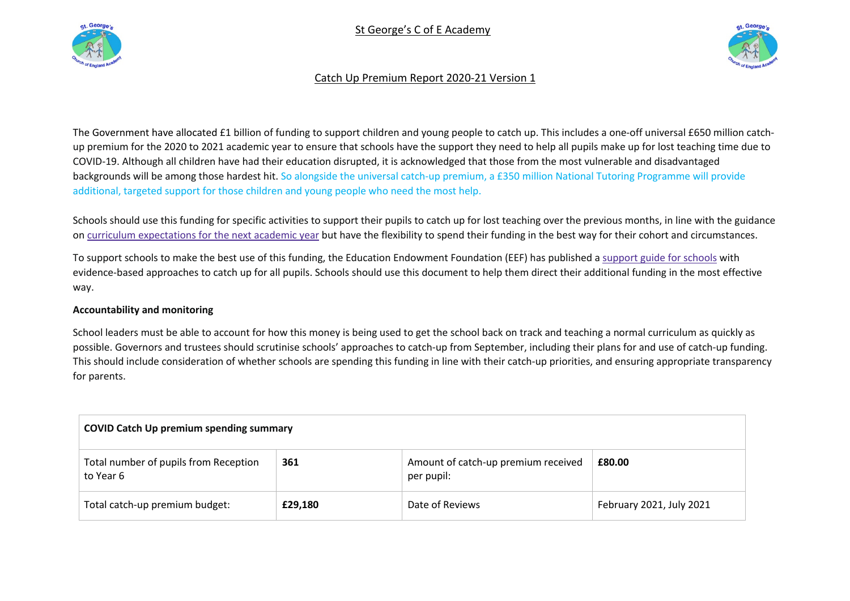





# Catch Up Premium Report 2020-21 Version 1

The Government have allocated £1 billion of funding to support children and young people to catch up. This includes a one-off universal £650 million catchup premium for the 2020 to 2021 academic year to ensure that schools have the support they need to help all pupils make up for lost teaching time due to COVID-19. Although all children have had their education disrupted, it is acknowledged that those from the most vulnerable and disadvantaged backgrounds will be among those hardest hit. So alongside the universal catch-up premium, a £350 million National Tutoring Programme will provide additional, targeted support for those children and young people who need the most help.

Schools should use this funding for specific activities to support their pupils to catch up for lost teaching over the previous months, in line with the guidance on curriculum expectations for the next academic year but have the flexibility to spend their funding in the best way for their cohort and circumstances.

To support schools to make the best use of this funding, the Education Endowment Foundation (EEF) has published a support guide for schools with evidence-based approaches to catch up for all pupils. Schools should use this document to help them direct their additional funding in the most effective way.

## **Accountability and monitoring**

School leaders must be able to account for how this money is being used to get the school back on track and teaching a normal curriculum as quickly as possible. Governors and trustees should scrutinise schools' approaches to catch-up from September, including their plans for and use of catch-up funding. This should include consideration of whether schools are spending this funding in line with their catch-up priorities, and ensuring appropriate transparency for parents.

| <b>COVID Catch Up premium spending summary</b>     |         |                                                   |                          |  |
|----------------------------------------------------|---------|---------------------------------------------------|--------------------------|--|
| Total number of pupils from Reception<br>to Year 6 | 361     | Amount of catch-up premium received<br>per pupil: | £80.00                   |  |
| Total catch-up premium budget:                     | £29,180 | Date of Reviews                                   | February 2021, July 2021 |  |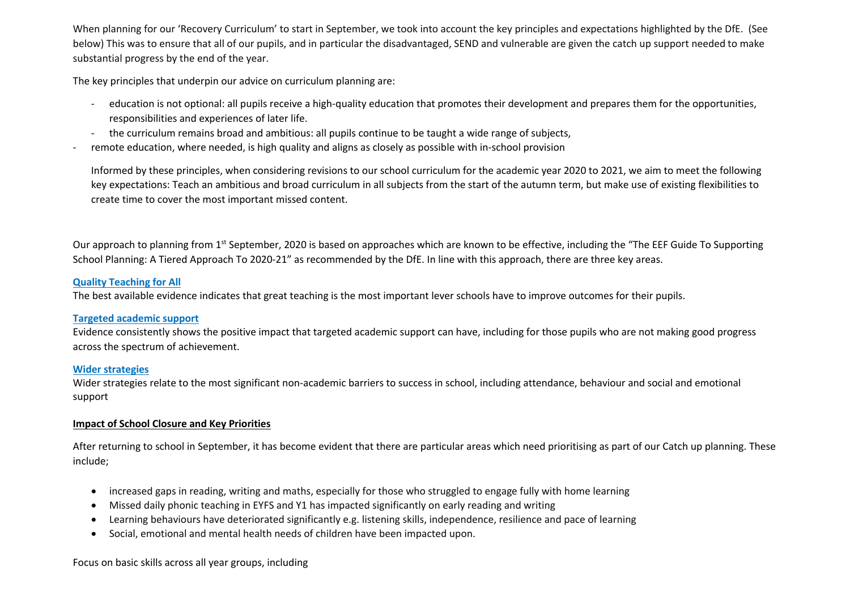When planning for our 'Recovery Curriculum' to start in September, we took into account the key principles and expectations highlighted by the DfE. (See below) This was to ensure that all of our pupils, and in particular the disadvantaged, SEND and vulnerable are given the catch up support needed to make substantial progress by the end of the year.

The key principles that underpin our advice on curriculum planning are:

- education is not optional: all pupils receive a high-quality education that promotes their development and prepares them for the opportunities, responsibilities and experiences of later life.
- the curriculum remains broad and ambitious: all pupils continue to be taught a wide range of subjects,
- remote education, where needed, is high quality and aligns as closely as possible with in-school provision

Informed by these principles, when considering revisions to our school curriculum for the academic year 2020 to 2021, we aim to meet the following key expectations: Teach an ambitious and broad curriculum in all subjects from the start of the autumn term, but make use of existing flexibilities to create time to cover the most important missed content.

Our approach to planning from 1<sup>st</sup> September, 2020 is based on approaches which are known to be effective, including the "The EEF Guide To Supporting School Planning: A Tiered Approach To 2020-21" as recommended by the DfE. In line with this approach, there are three key areas.

### **Quality Teaching for All**

The best available evidence indicates that great teaching is the most important lever schools have to improve outcomes for their pupils.

#### **Targeted academic support**

Evidence consistently shows the positive impact that targeted academic support can have, including for those pupils who are not making good progress across the spectrum of achievement.

## **Wider strategies**

Wider strategies relate to the most significant non-academic barriers to success in school, including attendance, behaviour and social and emotional support

## **Impact of School Closure and Key Priorities**

After returning to school in September, it has become evident that there are particular areas which need prioritising as part of our Catch up planning. These include;

- increased gaps in reading, writing and maths, especially for those who struggled to engage fully with home learning
- Missed daily phonic teaching in EYFS and Y1 has impacted significantly on early reading and writing
- Learning behaviours have deteriorated significantly e.g. listening skills, independence, resilience and pace of learning
- Social, emotional and mental health needs of children have been impacted upon.

#### Focus on basic skills across all year groups, including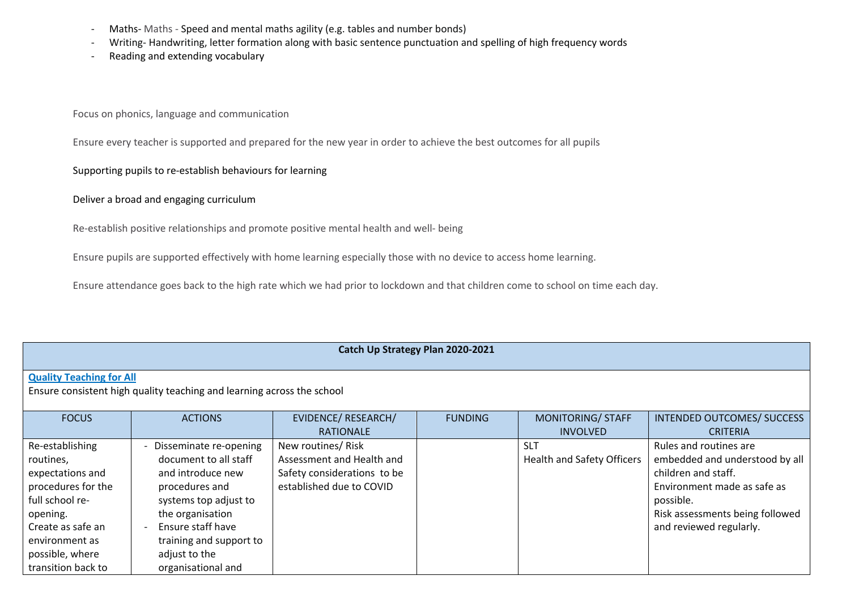- Maths- Maths Speed and mental maths agility (e.g. tables and number bonds)
- Writing- Handwriting, letter formation along with basic sentence punctuation and spelling of high frequency words
- Reading and extending vocabulary

Focus on phonics, language and communication

Ensure every teacher is supported and prepared for the new year in order to achieve the best outcomes for all pupils

### Supporting pupils to re-establish behaviours for learning

Deliver a broad and engaging curriculum

Re-establish positive relationships and promote positive mental health and well- being

Ensure pupils are supported effectively with home learning especially those with no device to access home learning.

Ensure attendance goes back to the high rate which we had prior to lockdown and that children come to school on time each day.

#### **Catch Up Strategy Plan 2020-2021**

## **Quality Teaching for All**

Ensure consistent high quality teaching and learning across the school

| <b>FOCUS</b>       | <b>ACTIONS</b>          | EVIDENCE/ RESEARCH/         | <b>FUNDING</b> | <b>MONITORING/ STAFF</b>          | INTENDED OUTCOMES/ SUCCESS      |
|--------------------|-------------------------|-----------------------------|----------------|-----------------------------------|---------------------------------|
|                    |                         | <b>RATIONALE</b>            |                | <b>INVOLVED</b>                   | <b>CRITERIA</b>                 |
| Re-establishing    | Disseminate re-opening  | New routines/ Risk          |                | <b>SLT</b>                        | Rules and routines are          |
| routines,          | document to all staff   | Assessment and Health and   |                | <b>Health and Safety Officers</b> | embedded and understood by all  |
| expectations and   | and introduce new       | Safety considerations to be |                |                                   | children and staff.             |
| procedures for the | procedures and          | established due to COVID    |                |                                   | Environment made as safe as     |
| full school re-    | systems top adjust to   |                             |                |                                   | possible.                       |
| opening.           | the organisation        |                             |                |                                   | Risk assessments being followed |
| Create as safe an  | Ensure staff have       |                             |                |                                   | and reviewed regularly.         |
| environment as     | training and support to |                             |                |                                   |                                 |
| possible, where    | adjust to the           |                             |                |                                   |                                 |
| transition back to | organisational and      |                             |                |                                   |                                 |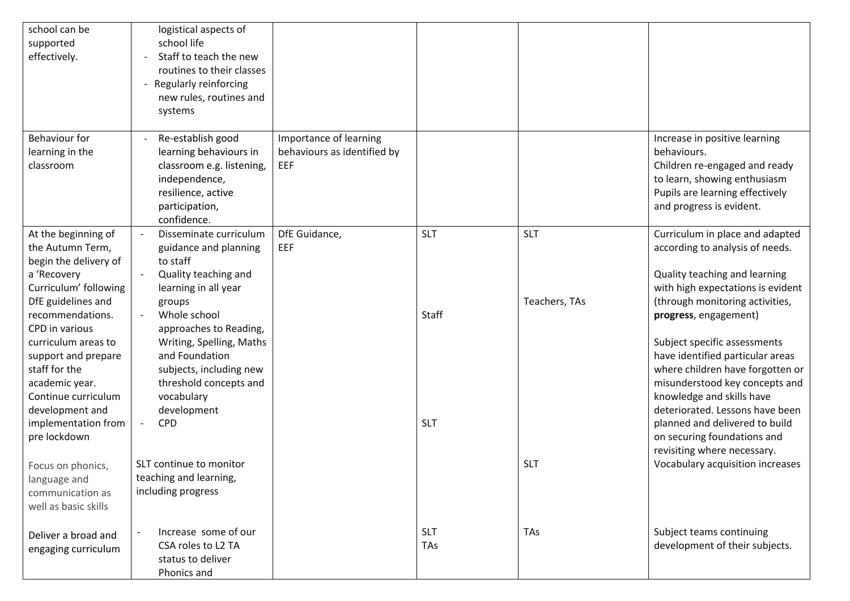| school can be<br>supported<br>effectively.                                                                                                                                                                         | logistical aspects of<br>school life<br>Staff to teach the new<br>routines to their classes<br>- Regularly reinforcing<br>new rules, routines and<br>systems                                                  |                                                              |                     |                             |                                                                                                                                                                                                                                                                          |
|--------------------------------------------------------------------------------------------------------------------------------------------------------------------------------------------------------------------|---------------------------------------------------------------------------------------------------------------------------------------------------------------------------------------------------------------|--------------------------------------------------------------|---------------------|-----------------------------|--------------------------------------------------------------------------------------------------------------------------------------------------------------------------------------------------------------------------------------------------------------------------|
| Behaviour for<br>learning in the<br>classroom                                                                                                                                                                      | Re-establish good<br>learning behaviours in<br>classroom e.g. listening,<br>independence,<br>resilience, active<br>participation,<br>confidence.                                                              | Importance of learning<br>behaviours as identified by<br>EEF |                     |                             | Increase in positive learning<br>behaviours.<br>Children re-engaged and ready<br>to learn, showing enthusiasm<br>Pupils are learning effectively<br>and progress is evident.                                                                                             |
| At the beginning of<br>the Autumn Term,<br>begin the delivery of<br>a 'Recovery<br>Curriculum' following<br>DfE guidelines and<br>recommendations.<br>CPD in various<br>curriculum areas to<br>support and prepare | Disseminate curriculum<br>guidance and planning<br>to staff<br>Quality teaching and<br>learning in all year<br>groups<br>Whole school<br>approaches to Reading,<br>Writing, Spelling, Maths<br>and Foundation | DfE Guidance,<br>EEF                                         | <b>SLT</b><br>Staff | <b>SLT</b><br>Teachers, TAs | Curriculum in place and adapted<br>according to analysis of needs.<br>Quality teaching and learning<br>with high expectations is evident<br>(through monitoring activities,<br>progress, engagement)<br>Subject specific assessments<br>have identified particular areas |
| staff for the<br>academic year.<br>Continue curriculum<br>development and<br>implementation from<br>pre lockdown<br>Focus on phonics,                                                                              | subjects, including new<br>threshold concepts and<br>vocabulary<br>development<br>CPD<br>$\overline{\phantom{a}}$<br>SLT continue to monitor                                                                  |                                                              | <b>SLT</b>          | <b>SLT</b>                  | where children have forgotten or<br>misunderstood key concepts and<br>knowledge and skills have<br>deteriorated. Lessons have been<br>planned and delivered to build<br>on securing foundations and<br>revisiting where necessary.<br>Vocabulary acquisition increases   |
| language and<br>communication as<br>well as basic skills                                                                                                                                                           | teaching and learning,<br>including progress                                                                                                                                                                  |                                                              |                     |                             |                                                                                                                                                                                                                                                                          |
| Deliver a broad and<br>engaging curriculum                                                                                                                                                                         | Increase some of our<br>CSA roles to L2 TA<br>status to deliver<br>Phonics and                                                                                                                                |                                                              | <b>SLT</b><br>TAs   | <b>TAs</b>                  | Subject teams continuing<br>development of their subjects.                                                                                                                                                                                                               |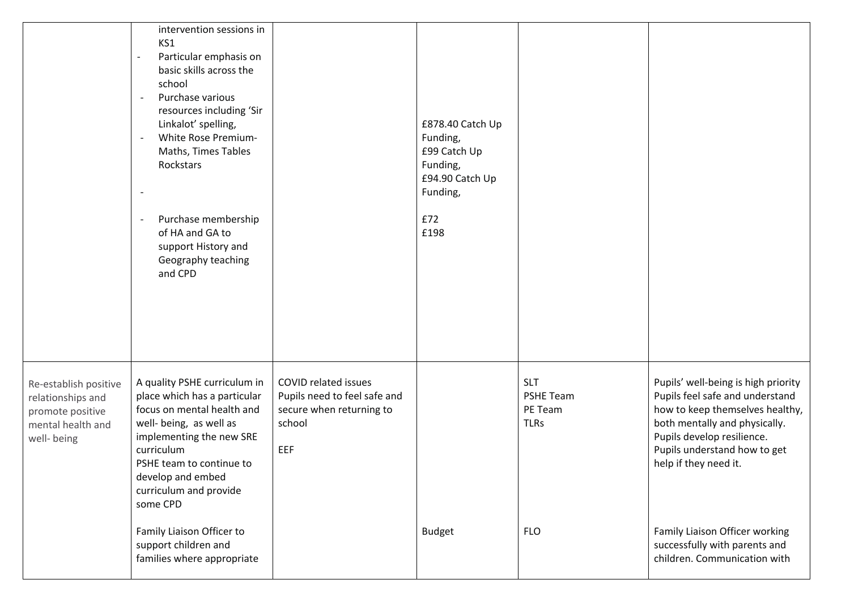|                                                                                                    | intervention sessions in<br>KS1<br>Particular emphasis on<br>basic skills across the<br>school<br>Purchase various<br>$\overline{\phantom{a}}$<br>resources including 'Sir<br>Linkalot' spelling,<br>White Rose Premium-<br>$\overline{\phantom{a}}$<br>Maths, Times Tables<br>Rockstars<br>Purchase membership<br>of HA and GA to<br>support History and<br>Geography teaching<br>and CPD |                                                                                                          | £878.40 Catch Up<br>Funding,<br>£99 Catch Up<br>Funding,<br>£94.90 Catch Up<br>Funding,<br>£72<br>£198 |                                                          |                                                                                                                                                                                                                                   |
|----------------------------------------------------------------------------------------------------|--------------------------------------------------------------------------------------------------------------------------------------------------------------------------------------------------------------------------------------------------------------------------------------------------------------------------------------------------------------------------------------------|----------------------------------------------------------------------------------------------------------|--------------------------------------------------------------------------------------------------------|----------------------------------------------------------|-----------------------------------------------------------------------------------------------------------------------------------------------------------------------------------------------------------------------------------|
| Re-establish positive<br>relationships and<br>promote positive<br>mental health and<br>well- being | A quality PSHE curriculum in<br>place which has a particular<br>focus on mental health and<br>well- being, as well as<br>implementing the new SRE<br>curriculum<br>PSHE team to continue to<br>develop and embed<br>curriculum and provide<br>some CPD                                                                                                                                     | <b>COVID related issues</b><br>Pupils need to feel safe and<br>secure when returning to<br>school<br>EEF |                                                                                                        | <b>SLT</b><br><b>PSHE Team</b><br>PE Team<br><b>TLRs</b> | Pupils' well-being is high priority<br>Pupils feel safe and understand<br>how to keep themselves healthy,<br>both mentally and physically.<br>Pupils develop resilience.<br>Pupils understand how to get<br>help if they need it. |
|                                                                                                    | Family Liaison Officer to<br>support children and<br>families where appropriate                                                                                                                                                                                                                                                                                                            |                                                                                                          | <b>Budget</b>                                                                                          | <b>FLO</b>                                               | Family Liaison Officer working<br>successfully with parents and<br>children. Communication with                                                                                                                                   |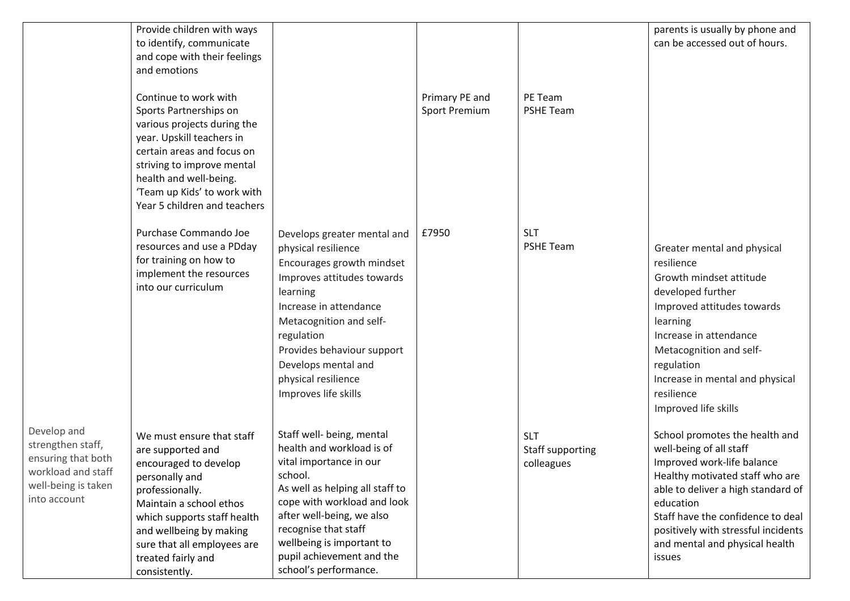|                                                                                                                     | Provide children with ways<br>to identify, communicate<br>and cope with their feelings<br>and emotions<br>Continue to work with<br>Sports Partnerships on<br>various projects during the<br>year. Upskill teachers in<br>certain areas and focus on<br>striving to improve mental<br>health and well-being.<br>'Team up Kids' to work with |                                                                                                                                                                                                                                                                                                        | Primary PE and<br><b>Sport Premium</b> | PE Team<br><b>PSHE Team</b>                  | parents is usually by phone and<br>can be accessed out of hours.                                                                                                                                                                                                                                      |
|---------------------------------------------------------------------------------------------------------------------|--------------------------------------------------------------------------------------------------------------------------------------------------------------------------------------------------------------------------------------------------------------------------------------------------------------------------------------------|--------------------------------------------------------------------------------------------------------------------------------------------------------------------------------------------------------------------------------------------------------------------------------------------------------|----------------------------------------|----------------------------------------------|-------------------------------------------------------------------------------------------------------------------------------------------------------------------------------------------------------------------------------------------------------------------------------------------------------|
|                                                                                                                     | Year 5 children and teachers<br>Purchase Commando Joe<br>resources and use a PDday<br>for training on how to<br>implement the resources<br>into our curriculum                                                                                                                                                                             | Develops greater mental and<br>physical resilience<br>Encourages growth mindset<br>Improves attitudes towards<br>learning<br>Increase in attendance<br>Metacognition and self-<br>regulation<br>Provides behaviour support<br>Develops mental and<br>physical resilience<br>Improves life skills       | £7950                                  | <b>SLT</b><br><b>PSHE Team</b>               | Greater mental and physical<br>resilience<br>Growth mindset attitude<br>developed further<br>Improved attitudes towards<br>learning<br>Increase in attendance<br>Metacognition and self-<br>regulation<br>Increase in mental and physical<br>resilience<br>Improved life skills                       |
| Develop and<br>strengthen staff,<br>ensuring that both<br>workload and staff<br>well-being is taken<br>into account | We must ensure that staff<br>are supported and<br>encouraged to develop<br>personally and<br>professionally.<br>Maintain a school ethos<br>which supports staff health<br>and wellbeing by making<br>sure that all employees are<br>treated fairly and<br>consistently.                                                                    | Staff well- being, mental<br>health and workload is of<br>vital importance in our<br>school.<br>As well as helping all staff to<br>cope with workload and look<br>after well-being, we also<br>recognise that staff<br>wellbeing is important to<br>pupil achievement and the<br>school's performance. |                                        | <b>SLT</b><br>Staff supporting<br>colleagues | School promotes the health and<br>well-being of all staff<br>Improved work-life balance<br>Healthy motivated staff who are<br>able to deliver a high standard of<br>education<br>Staff have the confidence to deal<br>positively with stressful incidents<br>and mental and physical health<br>issues |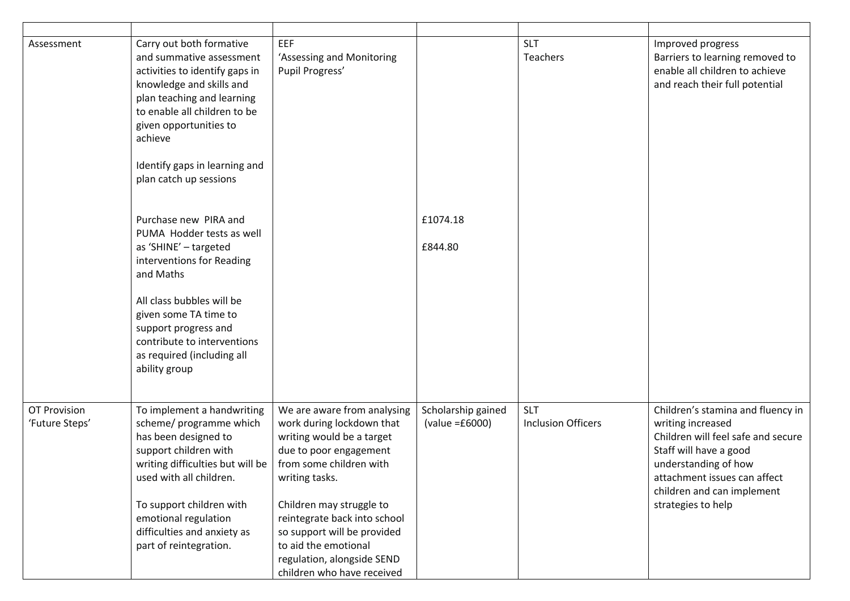| Assessment                            | Carry out both formative<br>and summative assessment<br>activities to identify gaps in<br>knowledge and skills and<br>plan teaching and learning<br>to enable all children to be<br>given opportunities to<br>achieve<br>Identify gaps in learning and<br>plan catch up sessions   | EEF<br>'Assessing and Monitoring<br>Pupil Progress'                                                                                                                                                                                                                                                                                         |                                          | <b>SLT</b><br>Teachers                  | Improved progress<br>Barriers to learning removed to<br>enable all children to achieve<br>and reach their full potential                                                                                                           |
|---------------------------------------|------------------------------------------------------------------------------------------------------------------------------------------------------------------------------------------------------------------------------------------------------------------------------------|---------------------------------------------------------------------------------------------------------------------------------------------------------------------------------------------------------------------------------------------------------------------------------------------------------------------------------------------|------------------------------------------|-----------------------------------------|------------------------------------------------------------------------------------------------------------------------------------------------------------------------------------------------------------------------------------|
|                                       | Purchase new PIRA and<br>PUMA Hodder tests as well<br>as 'SHINE' - targeted<br>interventions for Reading<br>and Maths<br>All class bubbles will be<br>given some TA time to<br>support progress and<br>contribute to interventions<br>as required (including all<br>ability group  |                                                                                                                                                                                                                                                                                                                                             | £1074.18<br>£844.80                      |                                         |                                                                                                                                                                                                                                    |
| <b>OT Provision</b><br>'Future Steps' | To implement a handwriting<br>scheme/ programme which<br>has been designed to<br>support children with<br>writing difficulties but will be<br>used with all children.<br>To support children with<br>emotional regulation<br>difficulties and anxiety as<br>part of reintegration. | We are aware from analysing<br>work during lockdown that<br>writing would be a target<br>due to poor engagement<br>from some children with<br>writing tasks.<br>Children may struggle to<br>reintegrate back into school<br>so support will be provided<br>to aid the emotional<br>regulation, alongside SEND<br>children who have received | Scholarship gained<br>(value = $£6000$ ) | <b>SLT</b><br><b>Inclusion Officers</b> | Children's stamina and fluency in<br>writing increased<br>Children will feel safe and secure<br>Staff will have a good<br>understanding of how<br>attachment issues can affect<br>children and can implement<br>strategies to help |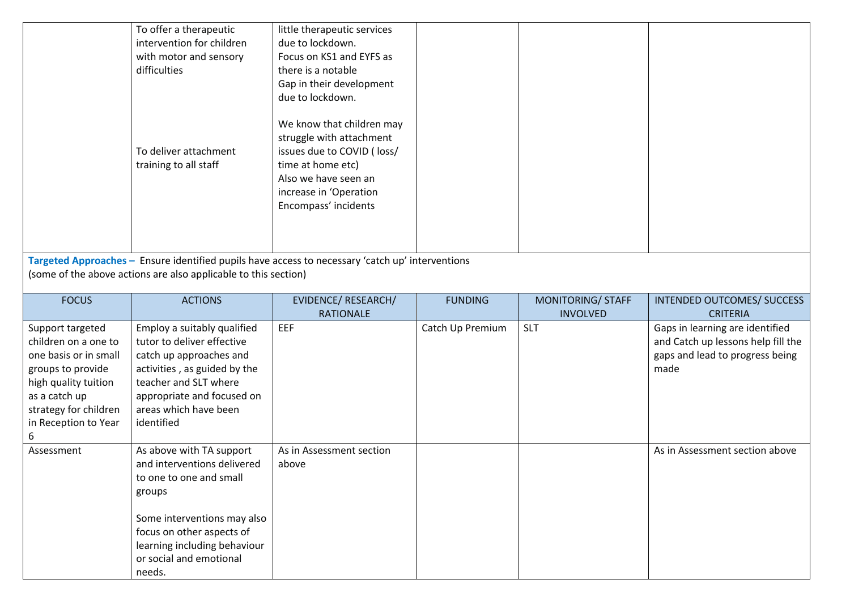|                                                                                                                                                                                  | To offer a therapeutic<br>intervention for children<br>with motor and sensory<br>difficulties<br>To deliver attachment<br>training to all staff                                                                     | little therapeutic services<br>due to lockdown.<br>Focus on KS1 and EYFS as<br>there is a notable<br>Gap in their development<br>due to lockdown.<br>We know that children may<br>struggle with attachment<br>issues due to COVID (loss/<br>time at home etc)<br>Also we have seen an<br>increase in 'Operation<br>Encompass' incidents |                  |                                      |                                                                                                                  |
|----------------------------------------------------------------------------------------------------------------------------------------------------------------------------------|---------------------------------------------------------------------------------------------------------------------------------------------------------------------------------------------------------------------|-----------------------------------------------------------------------------------------------------------------------------------------------------------------------------------------------------------------------------------------------------------------------------------------------------------------------------------------|------------------|--------------------------------------|------------------------------------------------------------------------------------------------------------------|
|                                                                                                                                                                                  |                                                                                                                                                                                                                     |                                                                                                                                                                                                                                                                                                                                         |                  |                                      |                                                                                                                  |
|                                                                                                                                                                                  |                                                                                                                                                                                                                     | Targeted Approaches - Ensure identified pupils have access to necessary 'catch up' interventions                                                                                                                                                                                                                                        |                  |                                      |                                                                                                                  |
|                                                                                                                                                                                  | (some of the above actions are also applicable to this section)                                                                                                                                                     |                                                                                                                                                                                                                                                                                                                                         |                  |                                      |                                                                                                                  |
|                                                                                                                                                                                  |                                                                                                                                                                                                                     |                                                                                                                                                                                                                                                                                                                                         |                  |                                      |                                                                                                                  |
| <b>FOCUS</b>                                                                                                                                                                     | <b>ACTIONS</b>                                                                                                                                                                                                      | EVIDENCE/ RESEARCH/<br><b>RATIONALE</b>                                                                                                                                                                                                                                                                                                 | <b>FUNDING</b>   | MONITORING/ STAFF<br><b>INVOLVED</b> | INTENDED OUTCOMES/ SUCCESS<br><b>CRITERIA</b>                                                                    |
| Support targeted<br>children on a one to<br>one basis or in small<br>groups to provide<br>high quality tuition<br>as a catch up<br>strategy for children<br>in Reception to Year | Employ a suitably qualified<br>tutor to deliver effective<br>catch up approaches and<br>activities, as guided by the<br>teacher and SLT where<br>appropriate and focused on<br>areas which have been<br>identified  | EEF                                                                                                                                                                                                                                                                                                                                     | Catch Up Premium | <b>SLT</b>                           | Gaps in learning are identified<br>and Catch up lessons help fill the<br>gaps and lead to progress being<br>made |
| 6                                                                                                                                                                                |                                                                                                                                                                                                                     |                                                                                                                                                                                                                                                                                                                                         |                  |                                      |                                                                                                                  |
| Assessment                                                                                                                                                                       | As above with TA support<br>and interventions delivered<br>to one to one and small<br>groups<br>Some interventions may also<br>focus on other aspects of<br>learning including behaviour<br>or social and emotional | As in Assessment section<br>above                                                                                                                                                                                                                                                                                                       |                  |                                      | As in Assessment section above                                                                                   |
|                                                                                                                                                                                  | needs.                                                                                                                                                                                                              |                                                                                                                                                                                                                                                                                                                                         |                  |                                      |                                                                                                                  |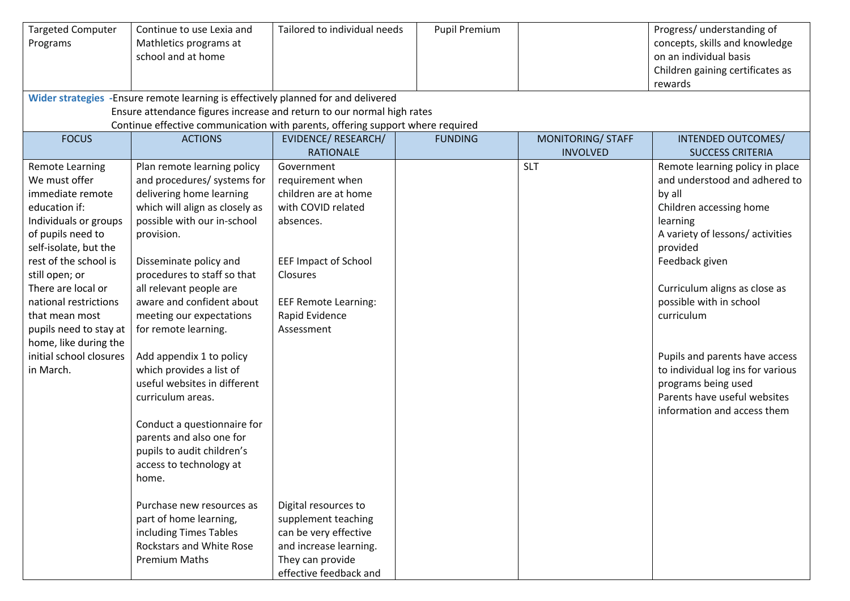| <b>Targeted Computer</b><br>Programs                                                                                                                                                                                                                                                                                                                       | Continue to use Lexia and<br>Mathletics programs at<br>school and at home<br>Wider strategies -Ensure remote learning is effectively planned for and delivered                                                                                                                                                                                                                                                                                                                                                                                                                                                                                                                                                                   | Tailored to individual needs                                                                                                                                                                                                                                                                                              | <b>Pupil Premium</b> |                                      | Progress/ understanding of<br>concepts, skills and knowledge<br>on an individual basis<br>Children gaining certificates as<br>rewards                                                                                                                                                                                                                                                                                     |
|------------------------------------------------------------------------------------------------------------------------------------------------------------------------------------------------------------------------------------------------------------------------------------------------------------------------------------------------------------|----------------------------------------------------------------------------------------------------------------------------------------------------------------------------------------------------------------------------------------------------------------------------------------------------------------------------------------------------------------------------------------------------------------------------------------------------------------------------------------------------------------------------------------------------------------------------------------------------------------------------------------------------------------------------------------------------------------------------------|---------------------------------------------------------------------------------------------------------------------------------------------------------------------------------------------------------------------------------------------------------------------------------------------------------------------------|----------------------|--------------------------------------|---------------------------------------------------------------------------------------------------------------------------------------------------------------------------------------------------------------------------------------------------------------------------------------------------------------------------------------------------------------------------------------------------------------------------|
|                                                                                                                                                                                                                                                                                                                                                            | Ensure attendance figures increase and return to our normal high rates<br>Continue effective communication with parents, offering support where required                                                                                                                                                                                                                                                                                                                                                                                                                                                                                                                                                                         |                                                                                                                                                                                                                                                                                                                           |                      |                                      |                                                                                                                                                                                                                                                                                                                                                                                                                           |
| <b>FOCUS</b>                                                                                                                                                                                                                                                                                                                                               | <b>ACTIONS</b>                                                                                                                                                                                                                                                                                                                                                                                                                                                                                                                                                                                                                                                                                                                   | EVIDENCE/ RESEARCH/<br><b>RATIONALE</b>                                                                                                                                                                                                                                                                                   | <b>FUNDING</b>       | MONITORING/ STAFF<br><b>INVOLVED</b> | INTENDED OUTCOMES/<br><b>SUCCESS CRITERIA</b>                                                                                                                                                                                                                                                                                                                                                                             |
| <b>Remote Learning</b><br>We must offer<br>immediate remote<br>education if:<br>Individuals or groups<br>of pupils need to<br>self-isolate, but the<br>rest of the school is<br>still open; or<br>There are local or<br>national restrictions<br>that mean most<br>pupils need to stay at<br>home, like during the<br>initial school closures<br>in March. | Plan remote learning policy<br>and procedures/ systems for<br>delivering home learning<br>which will align as closely as<br>possible with our in-school<br>provision.<br>Disseminate policy and<br>procedures to staff so that<br>all relevant people are<br>aware and confident about<br>meeting our expectations<br>for remote learning.<br>Add appendix 1 to policy<br>which provides a list of<br>useful websites in different<br>curriculum areas.<br>Conduct a questionnaire for<br>parents and also one for<br>pupils to audit children's<br>access to technology at<br>home.<br>Purchase new resources as<br>part of home learning,<br>including Times Tables<br><b>Rockstars and White Rose</b><br><b>Premium Maths</b> | Government<br>requirement when<br>children are at home<br>with COVID related<br>absences.<br><b>EEF Impact of School</b><br>Closures<br><b>EEF Remote Learning:</b><br>Rapid Evidence<br>Assessment<br>Digital resources to<br>supplement teaching<br>can be very effective<br>and increase learning.<br>They can provide |                      | <b>SLT</b>                           | Remote learning policy in place<br>and understood and adhered to<br>by all<br>Children accessing home<br>learning<br>A variety of lessons/activities<br>provided<br>Feedback given<br>Curriculum aligns as close as<br>possible with in school<br>curriculum<br>Pupils and parents have access<br>to individual log ins for various<br>programs being used<br>Parents have useful websites<br>information and access them |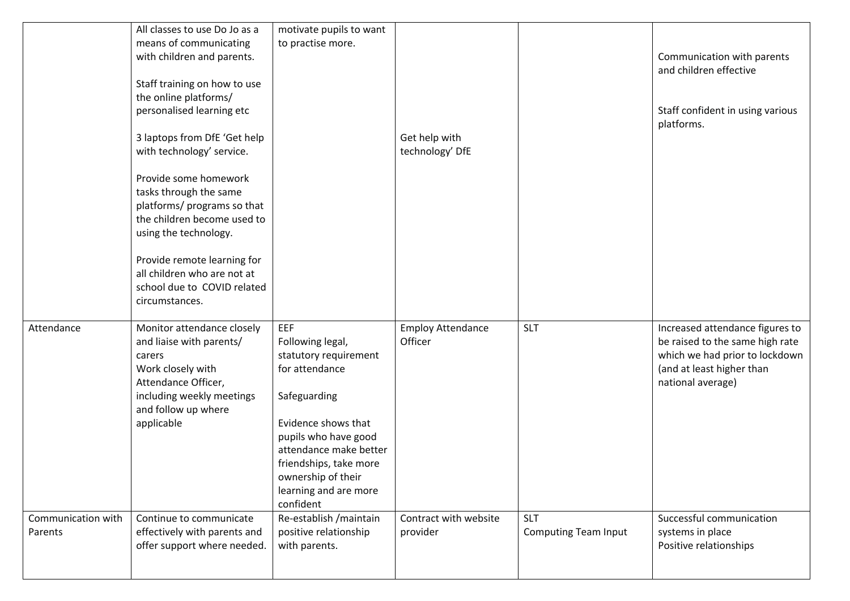|                               | All classes to use Do Jo as a<br>means of communicating<br>with children and parents.<br>Staff training on how to use<br>the online platforms/<br>personalised learning etc<br>3 laptops from DfE 'Get help<br>with technology' service.<br>Provide some homework<br>tasks through the same<br>platforms/ programs so that<br>the children become used to<br>using the technology.<br>Provide remote learning for<br>all children who are not at<br>school due to COVID related<br>circumstances. | motivate pupils to want<br>to practise more.                                                                                                                                                                                                      | Get help with<br>technology' DfE    |                                           | Communication with parents<br>and children effective<br>Staff confident in using various<br>platforms.                                                 |
|-------------------------------|---------------------------------------------------------------------------------------------------------------------------------------------------------------------------------------------------------------------------------------------------------------------------------------------------------------------------------------------------------------------------------------------------------------------------------------------------------------------------------------------------|---------------------------------------------------------------------------------------------------------------------------------------------------------------------------------------------------------------------------------------------------|-------------------------------------|-------------------------------------------|--------------------------------------------------------------------------------------------------------------------------------------------------------|
| Attendance                    | Monitor attendance closely<br>and liaise with parents/<br>carers<br>Work closely with<br>Attendance Officer,<br>including weekly meetings<br>and follow up where<br>applicable                                                                                                                                                                                                                                                                                                                    | EEF<br>Following legal,<br>statutory requirement<br>for attendance<br>Safeguarding<br>Evidence shows that<br>pupils who have good<br>attendance make better<br>friendships, take more<br>ownership of their<br>learning and are more<br>confident | <b>Employ Attendance</b><br>Officer | <b>SLT</b>                                | Increased attendance figures to<br>be raised to the same high rate<br>which we had prior to lockdown<br>(and at least higher than<br>national average) |
| Communication with<br>Parents | Continue to communicate<br>effectively with parents and<br>offer support where needed.                                                                                                                                                                                                                                                                                                                                                                                                            | Re-establish / maintain<br>positive relationship<br>with parents.                                                                                                                                                                                 | Contract with website<br>provider   | <b>SLT</b><br><b>Computing Team Input</b> | Successful communication<br>systems in place<br>Positive relationships                                                                                 |